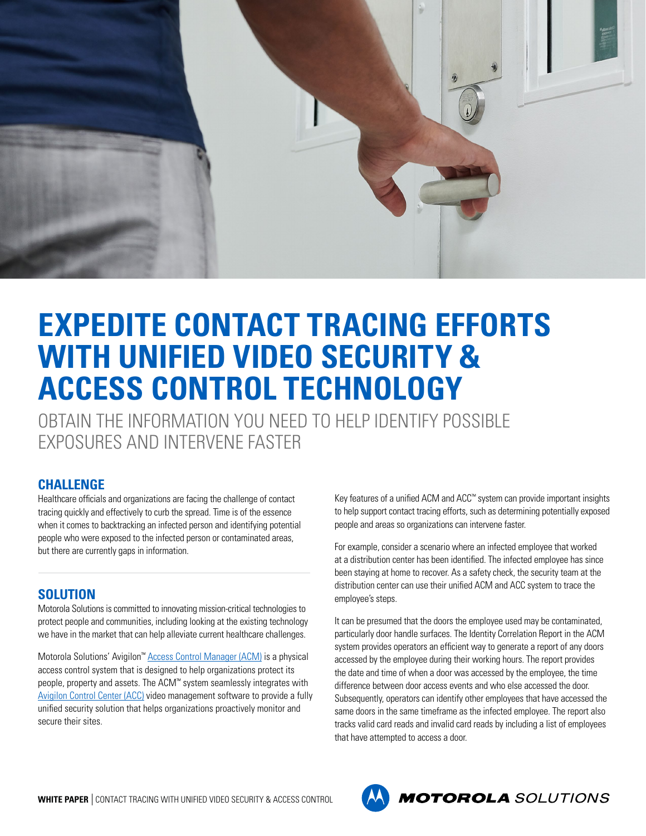

## **EXPEDITE CONTACT TRACING EFFORTS WITH UNIFIED VIDEO SECURITY & ACCESS CONTROL TECHNOLOGY**

OBTAIN THE INFORMATION YOU NEED TO HELP IDENTIFY POSSIBLE EXPOSURES AND INTERVENE FASTER

## **CHALLENGE**

Healthcare officials and organizations are facing the challenge of contact tracing quickly and effectively to curb the spread. Time is of the essence when it comes to backtracking an infected person and identifying potential people who were exposed to the infected person or contaminated areas, but there are currently gaps in information.

## **SOLUTION**

Motorola Solutions is committed to innovating mission-critical technologies to protect people and communities, including looking at the existing technology we have in the market that can help alleviate current healthcare challenges.

Motorola Solutions' Avigilon™ [Access Control Manager \(ACM\)](https://www.avigilon.com/products/access-control/solutions) is a physical access control system that is designed to help organizations protect its people, property and assets. The ACM™ system seamlessly integrates with [Avigilon Control Center \(ACC\)](http://avigilon.com/acc) video management software to provide a fully unified security solution that helps organizations proactively monitor and secure their sites.

Key features of a unified ACM and ACC™ system can provide important insights to help support contact tracing efforts, such as determining potentially exposed people and areas so organizations can intervene faster.

For example, consider a scenario where an infected employee that worked at a distribution center has been identified. The infected employee has since been staying at home to recover. As a safety check, the security team at the distribution center can use their unified ACM and ACC system to trace the employee's steps.

It can be presumed that the doors the employee used may be contaminated, particularly door handle surfaces. The Identity Correlation Report in the ACM system provides operators an efficient way to generate a report of any doors accessed by the employee during their working hours. The report provides the date and time of when a door was accessed by the employee, the time difference between door access events and who else accessed the door. Subsequently, operators can identify other employees that have accessed the same doors in the same timeframe as the infected employee. The report also tracks valid card reads and invalid card reads by including a list of employees that have attempted to access a door.